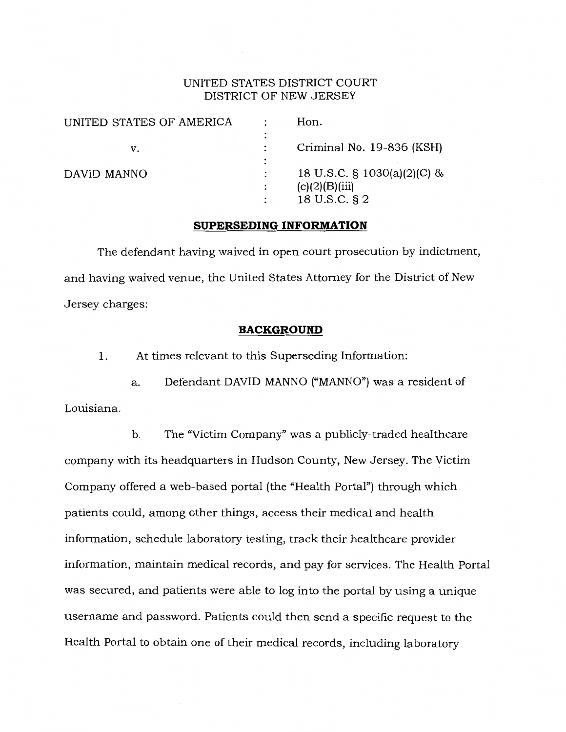## UNITED STATES DISTRICT COURT DISTRICT OF NEW JERSEY

| UNITED STATES OF AMERICA | ٠ | Hon.                                                           |
|--------------------------|---|----------------------------------------------------------------|
| v.                       |   | Criminal No. 19-836 (KSH)                                      |
| DAVID MANNO              |   | 18 U.S.C. § 1030(a)(2)(C) &<br>(c)(2)(B)(iii)<br>18 U.S.C. § 2 |

#### **SUPERSEDING INFORMATION**

The defendant having waived in open court prosecution by indictment, and having waived venue, the United States Attorney for the District of New Jersey charges:

#### **BACKGROUND**

1. At times relevant to this Superseding Information:

a. Defendant DAVID MANNO ("MANNO") was a resident of Louisiana.

b. The "Victim Company" was a publicly-traded healthcare company with its headquarters in Hudson County, New Jersey. The Victim Company offered a web-based portal (the "Health Portal") through which patients could, among other things, access their medical and health information, schedule laboratory testing, track their healthcare provider information, maintain medical records, and pay for services. The Health Portal was secured, and patients were able to log into the portal by using a unique username and password. Patients could then send a specific request to the Health Portal to obtain one of their medical records, including laboratory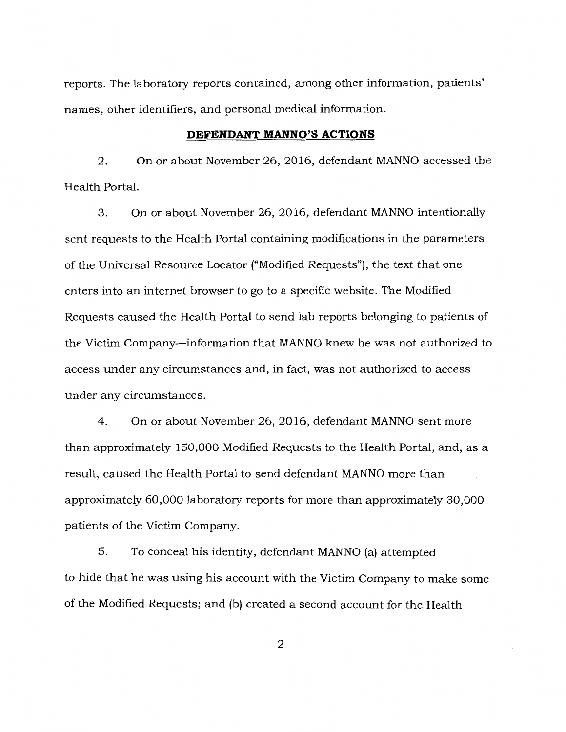reports. The laboratory reports contained, among other information, patients' names, other identifiers, and personal medical information.

#### **DEFENDANT MANNO'S ACTIONS**

2. On or about November 26, 2016, defendant MANNO accessed the Health Portal.

3. On or about November 26, 2016, defendant MANNO intentionally sent requests to the Health Portal containing modifications in the parameters of the Universal Resource Locator ("Modified Requests"), the text that one enters into an internet browser to go to a specific website. The Modified Requests caused the Health Portal to send lab reports belonging to patients of the Victim Company-information that MANNO knew he was not authorized to access under any circumstances and, in fact, was not authorized to access under any circumstances.

4. On or about November 26, 2016, defendant MANNO sent more than approximately 150,000 Modified Requests to the Health Portal, and, as a result, caused the Health Portal to send defendant MANNO more than approximately 60,000 laboratory reports for more than approximately 30,000 patients of the Victim Company.

5. To conceal his identity, defendant MANNO (a) attempted to hide that he was using his account with the Victim Company to make some of the Modified Requests; and (b) created a second account for the Health

2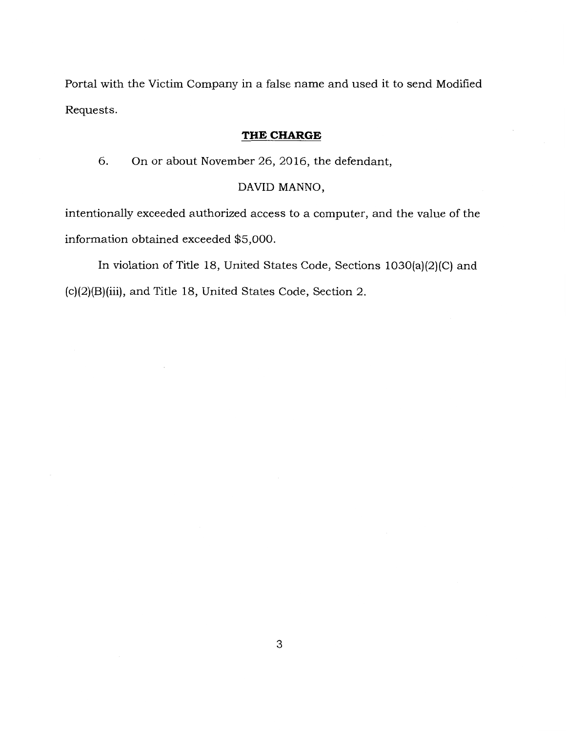Portal with the Victim Company in a false name and used it to send Modified Requests.

# **THE CHARGE**

6. On or about November 26, 2016, the defendant,

# DAVID MANNO,

intentionally exceeded authorized access to a computer, and the value of the information obtained exceeded \$5,000.

In violation of Title 18, United States Code, Sections 1030(a)(2)(C) and (c)(2)(B)(iii), and Title 18, United States Code, Section 2.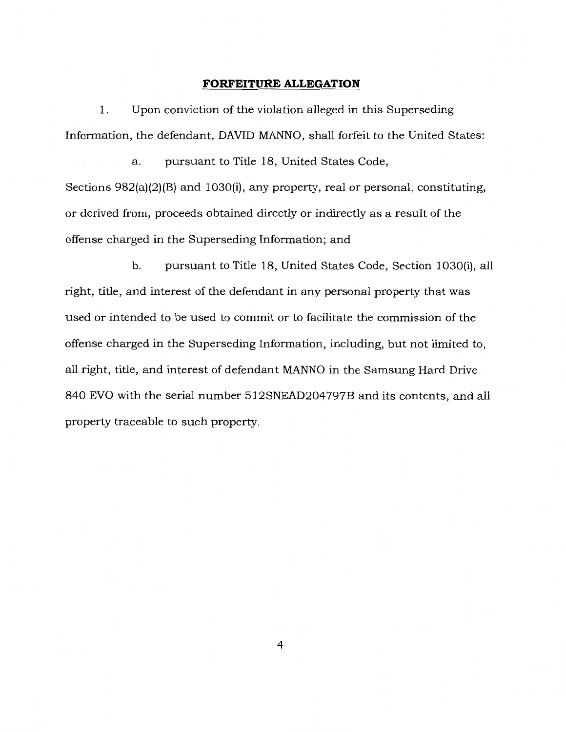### **FORFEITURE ALLEGATION**

1. Upon conviction of the violation alleged in this Superseding Information, the defendant, DAVID MANNO, shall forfeit to the United States:

a. pursuant to Title 18, United States Code, Sections 982(a)(2)(B) and 1030(i), any property, real or personal, constituting, or derived from, proceeds obtained directly or indirectly as a result of the offense charged in the Superseding Information; and

b. pursuant to Title 18, United States Code, Section 1030(i), all right, title, and interest of the defendant in any personal property that was used or intended to be used to commit or to facilitate the commission of the offense charged in the Superseding Information, including, but not limited to, all right, title, and interest of defendant MANNO in the Samsung Hard Drive 840 EVO with the serial number 5l2SNEAD204797B and its contents, and all property traceable to such property.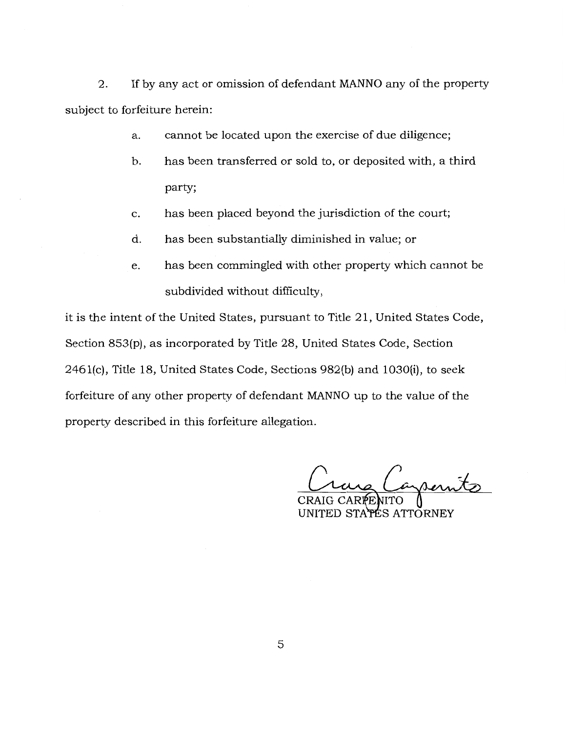2. If by any act or omission of defendant MANNO any of the property subject to forfeiture herein:

- a. cannot be located upon the exercise of due diligence;
- b. has been transferred or sold to, or deposited with, a third party;
- c. has been placed beyond the jurisdiction of the court;
- d. has been substantially diminished in value; or
- e. has been commingled with other property which cannot be subdivided without difficulty,

it is the intent of the United States, pursuant to Title 21, United States Code, Section 853(p), as incorporated by Title 28, United States Code, Section 246l(c), Title 18, United States Code, Sections 982(b) and 1030(i), to seek forfeiture of any other property of defendant MANNO up to the value of the property described in this forfeiture allegation.

azsernits

UNITED STAPES ATTORNEY